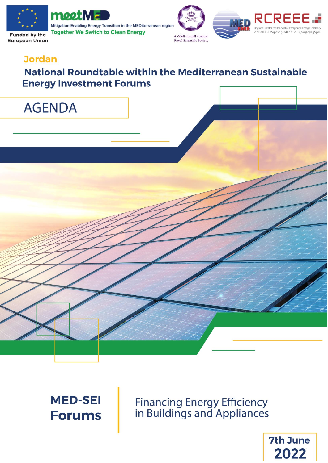

**European Union** 



Mitigation Enabling Energy Transition in the MEDiterranean region **Together We Switch to Clean Energy** 





### **Jordan**

# **National Roundtable within the Mediterranean Sustainable Energy Investment Forums**

| <b>AGENDA</b> |  |  |
|---------------|--|--|
|               |  |  |
|               |  |  |
|               |  |  |
|               |  |  |
|               |  |  |
|               |  |  |
|               |  |  |
|               |  |  |
|               |  |  |

**MED-SEI Forums** 

**Financing Energy Efficiency**<br>in Buildings and Appliances

**7th June** 2022